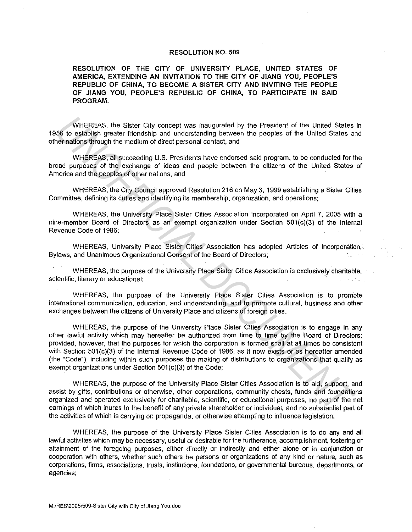## **RESOLUTION NO. 509**

**RESOLUTION OF THE CITY OF UNIVERSITY PLACE, UNITED STATES OF AMERICA, EXTENDING AN INVITATION TO THE CITY OF JIANG YOU, PEOPLE'S REPUBLIC OF CHINA, TO BECOME A SISTER CITY AND INVITING THE PEOPLE OF JIANG YOU, PEOPLE'S REPUBLIC OF CHINA, TO PARTICIPATE IN SAID PROGRAM.** 

WHEREAS, the Sister City concept was inaugurated by the President of the United States in 1956 to establish greater friendship and understanding between the peoples of the United States and other nations through the medium of direct personal contact, and

WHEREAS, all succeeding U.S. Presidents have endorsed said program, to be conducted for the broad purposes of the exchange of ideas and people between the citizens of the United States of America and the peoples of other nations, and

WHEREAS, the City Council approved Resolution 216 on May 3, 1999 establishing a Sister Cities Committee, defining its duties and identifying its membership, organization, and operations;

WHEREAS, the University Place Sister Cities Association incorporated on April 7, 2005 with a nine-member Board of Directors as an exempt organization under Section 501(c)(3) of the Internal Revenue Code of 1986;

WHEREAS, University Place Sister Cities Association has adopted Articles of Incorporation, and Bylaws, and Unanimous Organizational Consent of the Board of Directors;

WHEREAS, the purpose of the University Place Sister Cities Association is exclusively charitable, scientific, literary or educational;

WHEREAS, the purpose of the University Place Sister Cities Association is to promote international communication, education, and understanding, and to promote cultural, business and other exchanges between the citizens of University Place and citizens of foreign cities.

WHEREAS, the purpose of the University Place Sister Cities Association is to engage in any other lawful activity which may hereafter be authorized from time to time by the Board of Directors; provided, however, that the purposes for which the corporation is formed shall at all times be consistent with Section 501(c)(3) of the Internal Revenue Code of 1986, as it now exists or as hereafter amended (the "Code"), including within such purposes the making of distributions to organizations that qualify as exempt organizations under Section 501(c)(3) of the Code; WHEREAS, the Sister City concept was inaugurated by the President of the United States<br> **USE the calibitis greent friendating and understanding between the peoples of the United States and<br>
WHEREAS, all succeeding U.S. Pre** 

· WHEREAS, the purpose of the University Place Sister Cities Association is to aid, support, and assist by gifts, contributions or otherwise, other corporations, community chests, funds and foundations organized and operated exclusively for charitable, scientific, or educational purposes, no part of the net earnings of which inures to the benefit of any private shareholder or individual, and no substantial part of the activities of which is carrying on propaganda, or otherwise attempting to influence legislation;

WHEREAS, the purpose of the University Place Sister Cities Association is to do any and all lawful activities which may be necessary, useful or desirable for the furtherance, accomplishment, fostering or attainment of the foregoing purposes, either directly or indirectly and either alone or in conjunction or cooperation with others, whether such others be persons or organizations of any kind or nature, such as corporations, firms, associations, trusts, institutions, foundations, or governmental bureaus, departments, or agencies;